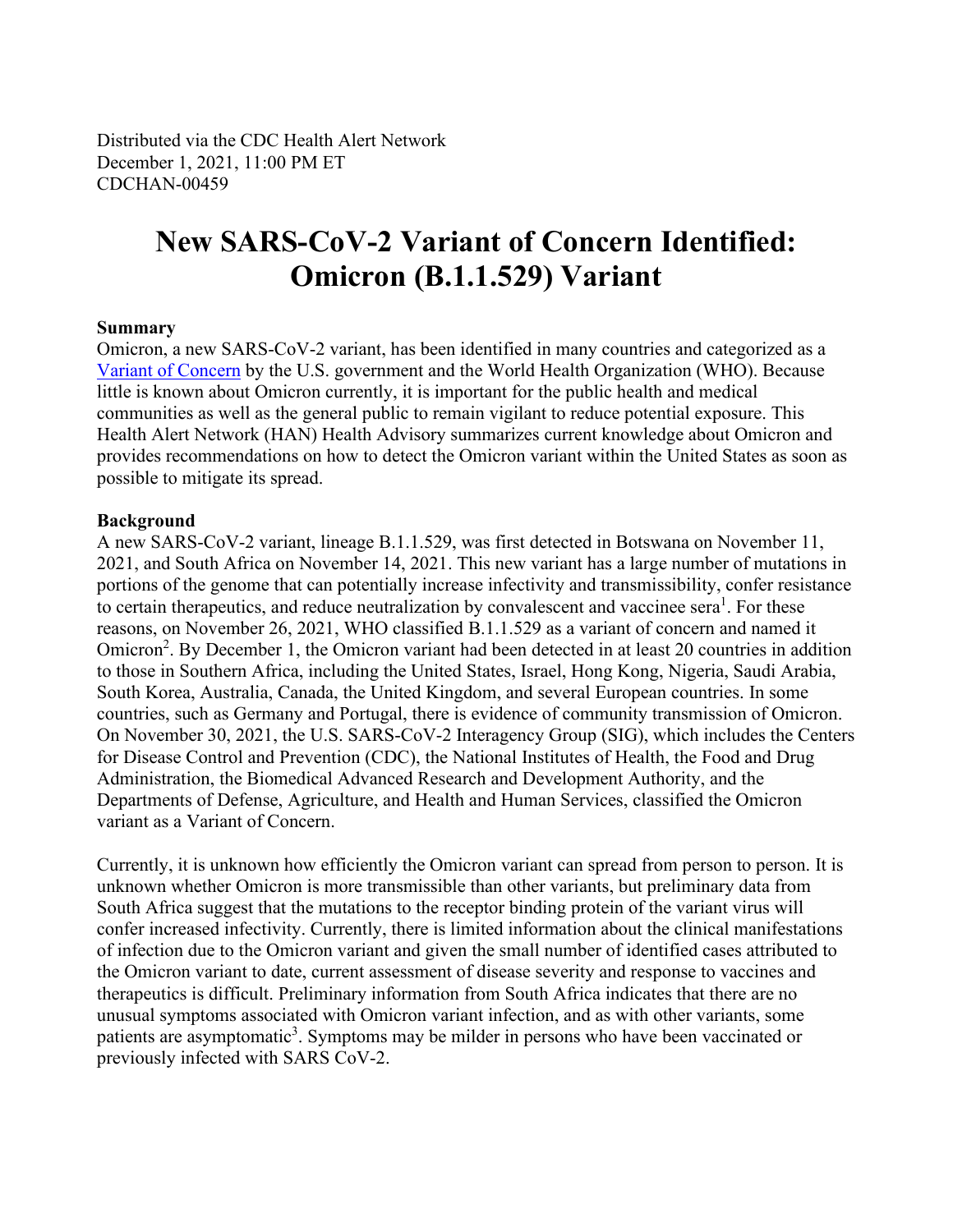Distributed via the CDC Health Alert Network December 1, 2021, 11:00 PM ET CDCHAN-00459

# **New SARS-CoV-2 Variant of Concern Identified: Omicron (B.1.1.529) Variant**

#### **Summary**

Omicron, a new SARS-CoV-2 variant, has been identified in many countries and categorized as a [Variant of Concern](https://t.emailupdates.cdc.gov/r/?id=h579d74dd,1566335d,1566c48e&ACSTrackingID=USCDC_511-DM71191&ACSTrackingLabel=HAN%20459-%20Professional%20and%20Media%20Partners) by the U.S. government and the World Health Organization (WHO). Because little is known about Omicron currently, it is important for the public health and medical communities as well as the general public to remain vigilant to reduce potential exposure. This Health Alert Network (HAN) Health Advisory summarizes current knowledge about Omicron and provides recommendations on how to detect the Omicron variant within the United States as soon as possible to mitigate its spread.

#### **Background**

A new SARS-CoV-2 variant, lineage B.1.1.529, was first detected in Botswana on November 11, 2021, and South Africa on November 14, 2021. This new variant has a large number of mutations in portions of the genome that can potentially increase infectivity and transmissibility, confer resistance to certain therapeutics, and reduce neutralization by convalescent and vaccinee sera<sup>1</sup>. For these reasons, on November 26, 2021, WHO classified B.1.1.529 as a variant of concern and named it Omicron<sup>2</sup>. By December 1, the Omicron variant had been detected in at least 20 countries in addition to those in Southern Africa, including the United States, Israel, Hong Kong, Nigeria, Saudi Arabia, South Korea, Australia, Canada, the United Kingdom, and several European countries. In some countries, such as Germany and Portugal, there is evidence of community transmission of Omicron. On November 30, 2021, the U.S. SARS-CoV-2 Interagency Group (SIG), which includes the Centers for Disease Control and Prevention (CDC), the National Institutes of Health, the Food and Drug Administration, the Biomedical Advanced Research and Development Authority, and the Departments of Defense, Agriculture, and Health and Human Services, classified the Omicron variant as a Variant of Concern.

Currently, it is unknown how efficiently the Omicron variant can spread from person to person. It is unknown whether Omicron is more transmissible than other variants, but preliminary data from South Africa suggest that the mutations to the receptor binding protein of the variant virus will confer increased infectivity. Currently, there is limited information about the clinical manifestations of infection due to the Omicron variant and given the small number of identified cases attributed to the Omicron variant to date, current assessment of disease severity and response to vaccines and therapeutics is difficult. Preliminary information from South Africa indicates that there are no unusual symptoms associated with Omicron variant infection, and as with other variants, some patients are asymptomatic<sup>3</sup>. Symptoms may be milder in persons who have been vaccinated or previously infected with SARS CoV-2.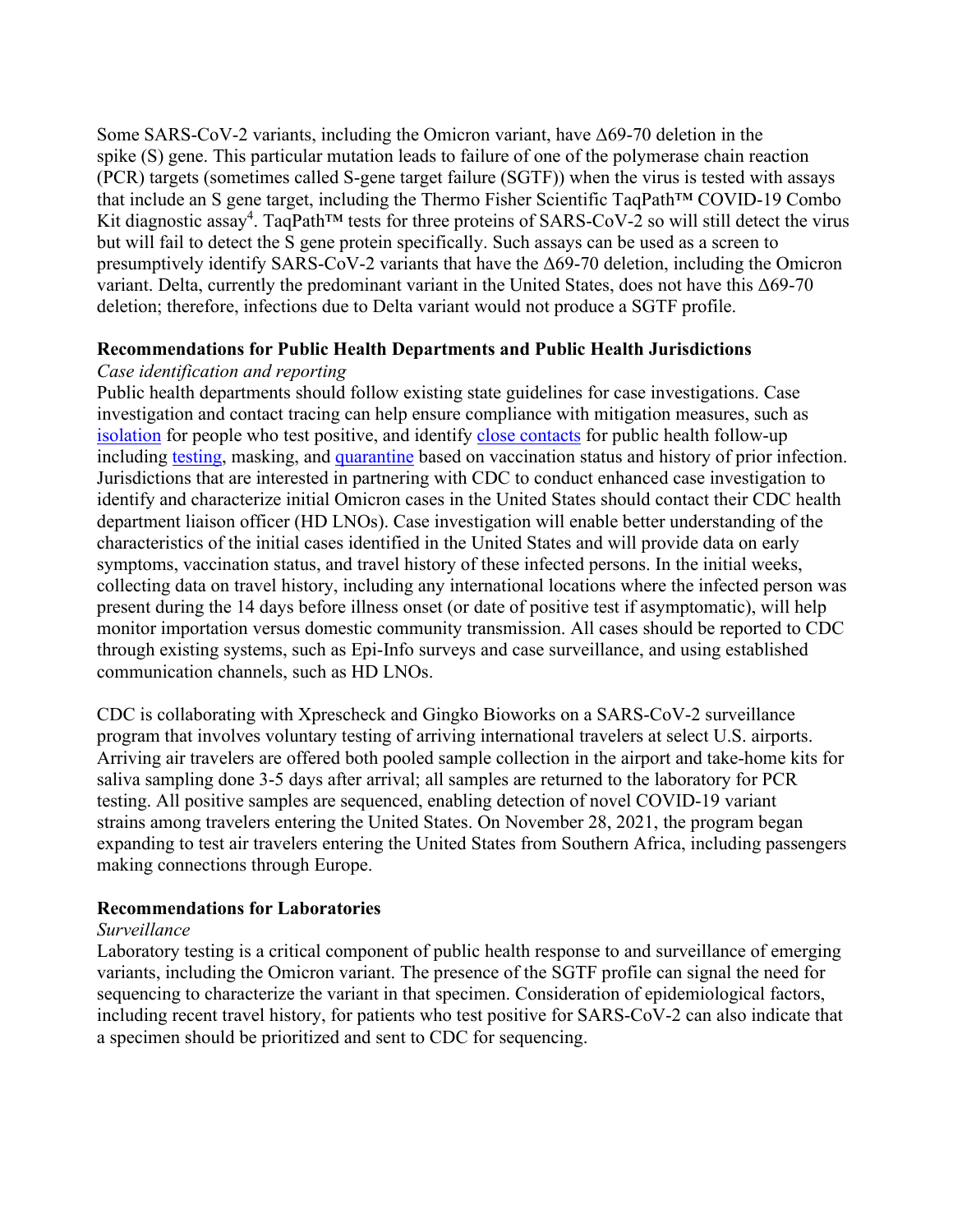Some SARS-CoV-2 variants, including the Omicron variant, have  $\Delta 69$ -70 deletion in the spike (S) gene. This particular mutation leads to failure of one of the polymerase chain reaction (PCR) targets (sometimes called S-gene target failure (SGTF)) when the virus is tested with assays that include an S gene target, including the Thermo Fisher Scientific TaqPath™ COVID-19 Combo Kit diagnostic assay<sup>4</sup>. TaqPath<sup>™</sup> tests for three proteins of SARS-CoV-2 so will still detect the virus but will fail to detect the S gene protein specifically. Such assays can be used as a screen to presumptively identify SARS-CoV-2 variants that have the  $\Delta 69$ -70 deletion, including the Omicron variant. Delta, currently the predominant variant in the United States, does not have this Δ69-70 deletion; therefore, infections due to Delta variant would not produce a SGTF profile.

#### **Recommendations for Public Health Departments and Public Health Jurisdictions**

#### *Case identification and reporting*

Public health departments should follow existing state guidelines for case investigations. Case investigation and contact tracing can help ensure compliance with mitigation measures, such as [isolation](https://t.emailupdates.cdc.gov/r/?id=h579d74dd,1566335d,1566c48f&ACSTrackingID=USCDC_511-DM71191&ACSTrackingLabel=HAN%20459-%20Professional%20and%20Media%20Partners) for people who test positive, and identify [close contacts](https://t.emailupdates.cdc.gov/r/?id=h579d74dd,1566335d,1566c490&ACSTrackingID=USCDC_511-DM71191&ACSTrackingLabel=HAN%20459-%20Professional%20and%20Media%20Partners) for public health follow-up including [testing,](https://t.emailupdates.cdc.gov/r/?id=h579d74dd,1566335d,1566c491&ACSTrackingID=USCDC_511-DM71191&ACSTrackingLabel=HAN%20459-%20Professional%20and%20Media%20Partners) masking, and [quarantine](https://t.emailupdates.cdc.gov/r/?id=h579d74dd,1566335d,1566c492&ACSTrackingID=USCDC_511-DM71191&ACSTrackingLabel=HAN%20459-%20Professional%20and%20Media%20Partners) based on vaccination status and history of prior infection. Jurisdictions that are interested in partnering with CDC to conduct enhanced case investigation to identify and characterize initial Omicron cases in the United States should contact their CDC health department liaison officer (HD LNOs). Case investigation will enable better understanding of the characteristics of the initial cases identified in the United States and will provide data on early symptoms, vaccination status, and travel history of these infected persons. In the initial weeks, collecting data on travel history, including any international locations where the infected person was present during the 14 days before illness onset (or date of positive test if asymptomatic), will help monitor importation versus domestic community transmission. All cases should be reported to CDC through existing systems, such as Epi-Info surveys and case surveillance, and using established communication channels, such as HD LNOs.

CDC is collaborating with Xprescheck and Gingko Bioworks on a SARS-CoV-2 surveillance program that involves voluntary testing of arriving international travelers at select U.S. airports. Arriving air travelers are offered both pooled sample collection in the airport and take-home kits for saliva sampling done 3-5 days after arrival; all samples are returned to the laboratory for PCR testing. All positive samples are sequenced, enabling detection of novel COVID-19 variant strains among travelers entering the United States. On November 28, 2021, the program began expanding to test air travelers entering the United States from Southern Africa, including passengers making connections through Europe.

## **Recommendations for Laboratories**

## *Surveillance*

Laboratory testing is a critical component of public health response to and surveillance of emerging variants, including the Omicron variant. The presence of the SGTF profile can signal the need for sequencing to characterize the variant in that specimen. Consideration of epidemiological factors, including recent travel history, for patients who test positive for SARS-CoV-2 can also indicate that a specimen should be prioritized and sent to CDC for sequencing.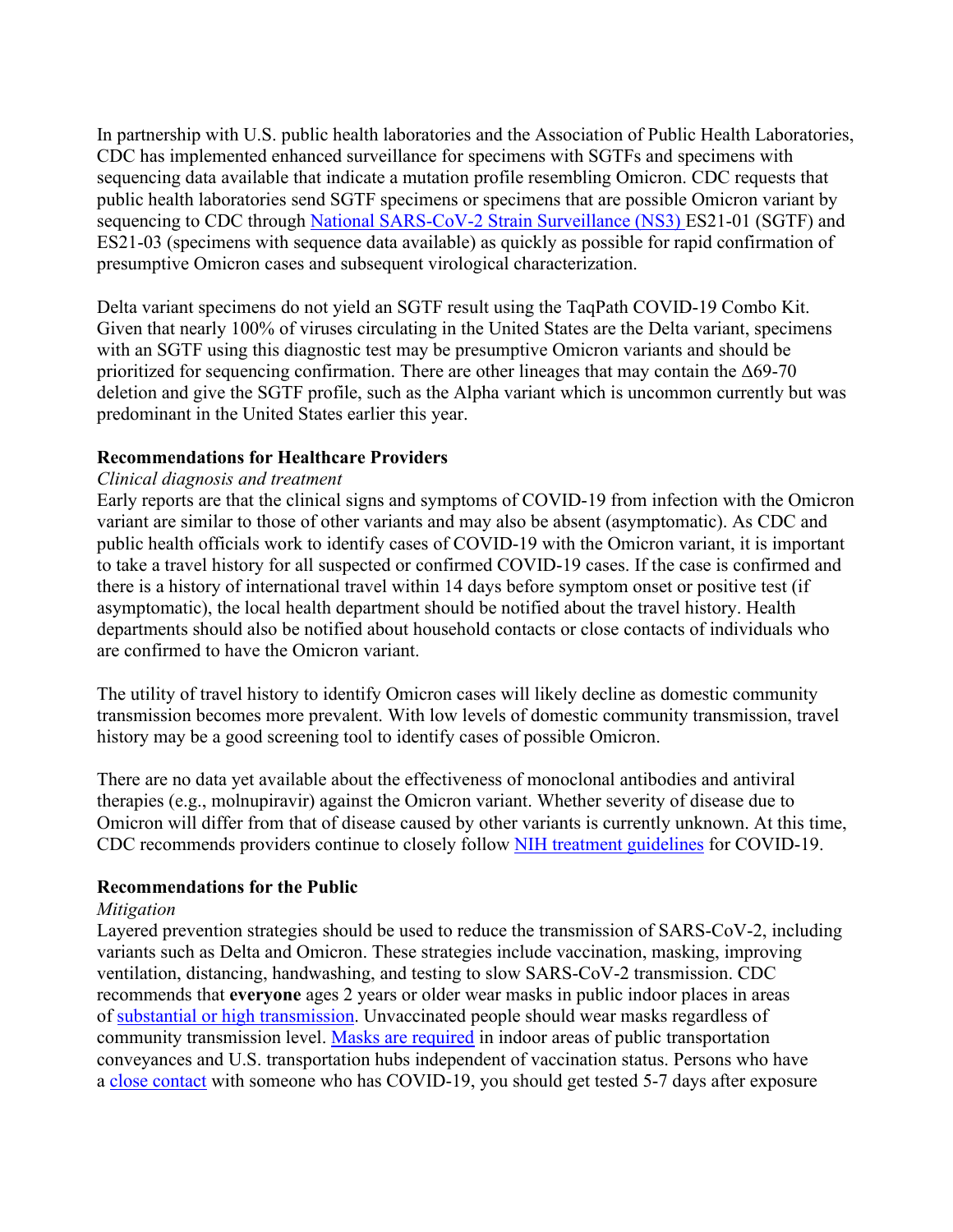In partnership with U.S. public health laboratories and the Association of Public Health Laboratories, CDC has implemented enhanced surveillance for specimens with SGTFs and specimens with sequencing data available that indicate a mutation profile resembling Omicron. CDC requests that public health laboratories send SGTF specimens or specimens that are possible Omicron variant by sequencing to CDC through [National SARS-CoV-2 Strain Surveillance](https://t.emailupdates.cdc.gov/r/?id=h579d74dd,1566335d,1566c493&ACSTrackingID=USCDC_511-DM71191&ACSTrackingLabel=HAN%20459-%20Professional%20and%20Media%20Partners) (NS3) ES21-01 (SGTF) and ES21-03 (specimens with sequence data available) as quickly as possible for rapid confirmation of presumptive Omicron cases and subsequent virological characterization.

Delta variant specimens do not yield an SGTF result using the TaqPath COVID-19 Combo Kit. Given that nearly 100% of viruses circulating in the United States are the Delta variant, specimens with an SGTF using this diagnostic test may be presumptive Omicron variants and should be prioritized for sequencing confirmation. There are other lineages that may contain the Δ69-70 deletion and give the SGTF profile, such as the Alpha variant which is uncommon currently but was predominant in the United States earlier this year.

#### **Recommendations for Healthcare Providers**

#### *Clinical diagnosis and treatment*

Early reports are that the clinical signs and symptoms of COVID-19 from infection with the Omicron variant are similar to those of other variants and may also be absent (asymptomatic). As CDC and public health officials work to identify cases of COVID-19 with the Omicron variant, it is important to take a travel history for all suspected or confirmed COVID-19 cases. If the case is confirmed and there is a history of international travel within 14 days before symptom onset or positive test (if asymptomatic), the local health department should be notified about the travel history. Health departments should also be notified about household contacts or close contacts of individuals who are confirmed to have the Omicron variant.

The utility of travel history to identify Omicron cases will likely decline as domestic community transmission becomes more prevalent. With low levels of domestic community transmission, travel history may be a good screening tool to identify cases of possible Omicron.

There are no data yet available about the effectiveness of monoclonal antibodies and antiviral therapies (e.g., molnupiravir) against the Omicron variant. Whether severity of disease due to Omicron will differ from that of disease caused by other variants is currently unknown. At this time, CDC recommends providers continue to closely follow [NIH treatment guidelines](https://t.emailupdates.cdc.gov/r/?id=h579d74dd,1566335d,1566c494&ACSTrackingID=USCDC_511-DM71191&ACSTrackingLabel=HAN%20459-%20Professional%20and%20Media%20Partners) for COVID-19.

#### **Recommendations for the Public**

#### *Mitigation*

Layered prevention strategies should be used to reduce the transmission of SARS-CoV-2, including variants such as Delta and Omicron. These strategies include vaccination, masking, improving ventilation, distancing, handwashing, and testing to slow SARS-CoV-2 transmission. CDC recommends that **everyone** ages 2 years or older wear masks in public indoor places in areas of [substantial or high transmission.](https://t.emailupdates.cdc.gov/r/?id=h579d74dd,1566335d,1566c495&ACSTrackingID=USCDC_511-DM71191&ACSTrackingLabel=HAN%20459-%20Professional%20and%20Media%20Partners) Unvaccinated people should wear masks regardless of community transmission level. [Masks are required](https://t.emailupdates.cdc.gov/r/?id=h579d74dd,1566335d,1566c496&ACSTrackingID=USCDC_511-DM71191&ACSTrackingLabel=HAN%20459-%20Professional%20and%20Media%20Partners) in indoor areas of public transportation conveyances and U.S. transportation hubs independent of vaccination status. Persons who have a [close contact](https://t.emailupdates.cdc.gov/r/?id=h579d74dd,1566335d,1566c497&ACSTrackingID=USCDC_511-DM71191&ACSTrackingLabel=HAN%20459-%20Professional%20and%20Media%20Partners) with someone who has COVID-19, you should get tested 5-7 days after exposure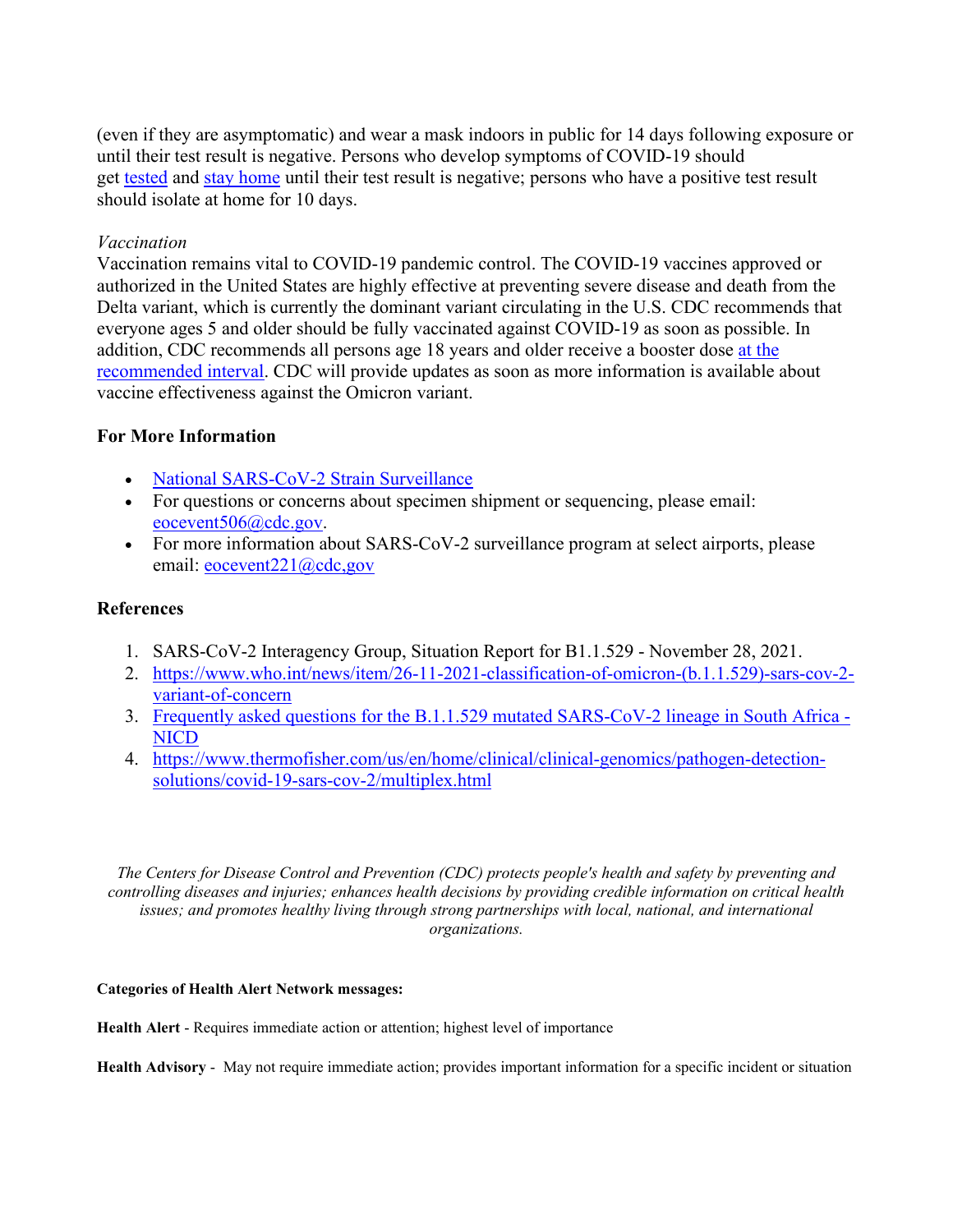(even if they are asymptomatic) and wear a mask indoors in public for 14 days following exposure or until their test result is negative. Persons who develop symptoms of COVID-19 should get [tested](https://t.emailupdates.cdc.gov/r/?id=h579d74dd,1566335d,1566c498&ACSTrackingID=USCDC_511-DM71191&ACSTrackingLabel=HAN%20459-%20Professional%20and%20Media%20Partners) and [stay home](https://t.emailupdates.cdc.gov/r/?id=h579d74dd,1566335d,1566c499&ACSTrackingID=USCDC_511-DM71191&ACSTrackingLabel=HAN%20459-%20Professional%20and%20Media%20Partners) until their test result is negative; persons who have a positive test result should isolate at home for 10 days.

#### *Vaccination*

Vaccination remains vital to COVID-19 pandemic control. The COVID-19 vaccines approved or authorized in the United States are highly effective at preventing severe disease and death from the Delta variant, which is currently the dominant variant circulating in the U.S. CDC recommends that everyone ages 5 and older should be fully vaccinated against COVID-19 as soon as possible. In addition, CDC recommends all persons age 18 years and older receive a booster dose [at the](https://t.emailupdates.cdc.gov/r/?id=h579d74dd,1566335d,1566c49a&ACSTrackingID=USCDC_511-DM71191&ACSTrackingLabel=HAN%20459-%20Professional%20and%20Media%20Partners)  [recommended interval.](https://t.emailupdates.cdc.gov/r/?id=h579d74dd,1566335d,1566c49a&ACSTrackingID=USCDC_511-DM71191&ACSTrackingLabel=HAN%20459-%20Professional%20and%20Media%20Partners) CDC will provide updates as soon as more information is available about vaccine effectiveness against the Omicron variant.

## **For More Information**

- [National SARS-CoV-2 Strain Surveillance](https://t.emailupdates.cdc.gov/r/?id=h579d74dd,1566335d,1566c49b&ACSTrackingID=USCDC_511-DM71191&ACSTrackingLabel=HAN%20459-%20Professional%20and%20Media%20Partners)
- For questions or concerns about specimen shipment or sequencing, please email: [eocevent506@cdc.gov.](mailto:eocevent506@cdc.gov)
- For more information about SARS-CoV-2 surveillance program at select airports, please email: [eocevent221@cdc,gov](mailto:eocevent221@cdc.gov)

#### **References**

- 1. SARS-CoV-2 Interagency Group, Situation Report for B1.1.529 November 28, 2021.
- 2. [https://www.who.int/news/item/26-11-2021-classification-of-omicron-\(b.1.1.529\)-sars-cov-2](https://t.emailupdates.cdc.gov/r/?id=h579d74dd,1566335d,1566c49c&ACSTrackingID=USCDC_511-DM71191&ACSTrackingLabel=HAN%20459-%20Professional%20and%20Media%20Partners) [variant-of-concern](https://t.emailupdates.cdc.gov/r/?id=h579d74dd,1566335d,1566c49c&ACSTrackingID=USCDC_511-DM71191&ACSTrackingLabel=HAN%20459-%20Professional%20and%20Media%20Partners)
- 3. [Frequently asked questions for the B.1.1.529 mutated SARS-CoV-2 lineage in South Africa -](https://t.emailupdates.cdc.gov/r/?id=h579d74dd,1566335d,1566c49d&ACSTrackingID=USCDC_511-DM71191&ACSTrackingLabel=HAN%20459-%20Professional%20and%20Media%20Partners) **[NICD](https://t.emailupdates.cdc.gov/r/?id=h579d74dd,1566335d,1566c49d&ACSTrackingID=USCDC_511-DM71191&ACSTrackingLabel=HAN%20459-%20Professional%20and%20Media%20Partners)**
- 4. [https://www.thermofisher.com/us/en/home/clinical/clinical-genomics/pathogen-detection](https://t.emailupdates.cdc.gov/r/?id=h579d74dd,1566335d,1566c516&ACSTrackingID=USCDC_511-DM71191&ACSTrackingLabel=HAN%20459-%20Professional%20and%20Media%20Partners)[solutions/covid-19-sars-cov-2/multiplex.html](https://t.emailupdates.cdc.gov/r/?id=h579d74dd,1566335d,1566c516&ACSTrackingID=USCDC_511-DM71191&ACSTrackingLabel=HAN%20459-%20Professional%20and%20Media%20Partners)

*The Centers for Disease Control and Prevention (CDC) protects people's health and safety by preventing and controlling diseases and injuries; enhances health decisions by providing credible information on critical health issues; and promotes healthy living through strong partnerships with local, national, and international organizations.*

#### **Categories of Health Alert Network messages:**

**Health Alert** - Requires immediate action or attention; highest level of importance

**Health Advisory** - May not require immediate action; provides important information for a specific incident or situation